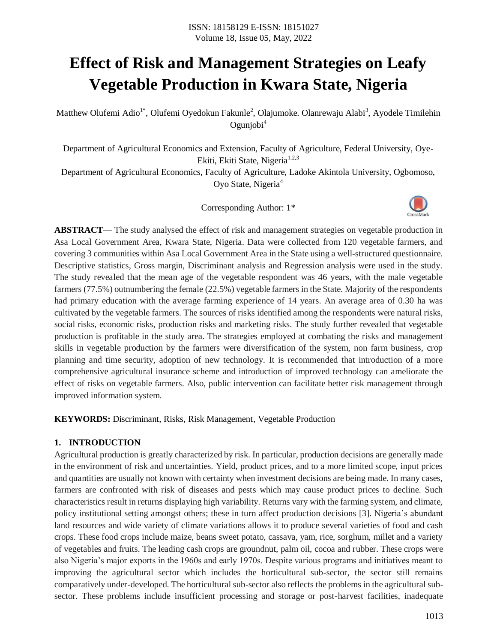# **Effect of Risk and Management Strategies on Leafy Vegetable Production in Kwara State, Nigeria**

Matthew Olufemi Adio<sup>1\*</sup>, Olufemi Oyedokun Fakunle<sup>2</sup>, Olajumoke. Olanrewaju Alabi<sup>3</sup>, Ayodele Timilehin  $O$ gunjobi $<sup>4</sup>$ </sup>

Department of Agricultural Economics and Extension, Faculty of Agriculture, Federal University, Oye-Ekiti, Ekiti State, Nigeria<sup>1,2,3</sup>

Department of Agricultural Economics, Faculty of Agriculture, Ladoke Akintola University, Ogbomoso, Oyo State, Nigeria<sup>4</sup>

Corresponding Author: 1\*



**ABSTRACT**— The study analysed the effect of risk and management strategies on vegetable production in Asa Local Government Area, Kwara State, Nigeria. Data were collected from 120 vegetable farmers, and covering 3 communities within Asa Local Government Area in the State using a well-structured questionnaire. Descriptive statistics, Gross margin, Discriminant analysis and Regression analysis were used in the study. The study revealed that the mean age of the vegetable respondent was 46 years, with the male vegetable farmers (77.5%) outnumbering the female (22.5%) vegetable farmers in the State. Majority of the respondents had primary education with the average farming experience of 14 years. An average area of 0.30 ha was cultivated by the vegetable farmers. The sources of risks identified among the respondents were natural risks, social risks, economic risks, production risks and marketing risks. The study further revealed that vegetable production is profitable in the study area. The strategies employed at combating the risks and management skills in vegetable production by the farmers were diversification of the system, non farm business, crop planning and time security, adoption of new technology. It is recommended that introduction of a more comprehensive agricultural insurance scheme and introduction of improved technology can ameliorate the effect of risks on vegetable farmers. Also, public intervention can facilitate better risk management through improved information system.

**KEYWORDS:** Discriminant, Risks, Risk Management, Vegetable Production

# **1. INTRODUCTION**

Agricultural production is greatly characterized by risk. In particular, production decisions are generally made in the environment of risk and uncertainties. Yield, product prices, and to a more limited scope, input prices and quantities are usually not known with certainty when investment decisions are being made. In many cases, farmers are confronted with risk of diseases and pests which may cause product prices to decline. Such characteristics result in returns displaying high variability. Returns vary with the farming system, and climate, policy institutional setting amongst others; these in turn affect production decisions [3]. Nigeria's abundant land resources and wide variety of climate variations allows it to produce several varieties of food and cash crops. These food crops include maize, beans sweet potato, cassava, yam, rice, sorghum, millet and a variety of vegetables and fruits. The leading cash crops are groundnut, palm oil, cocoa and rubber. These crops were also Nigeria's major exports in the 1960s and early 1970s. Despite various programs and initiatives meant to improving the agricultural sector which includes the horticultural sub-sector, the sector still remains comparatively under-developed. The horticultural sub-sector also reflects the problems in the agricultural subsector. These problems include insufficient processing and storage or post-harvest facilities, inadequate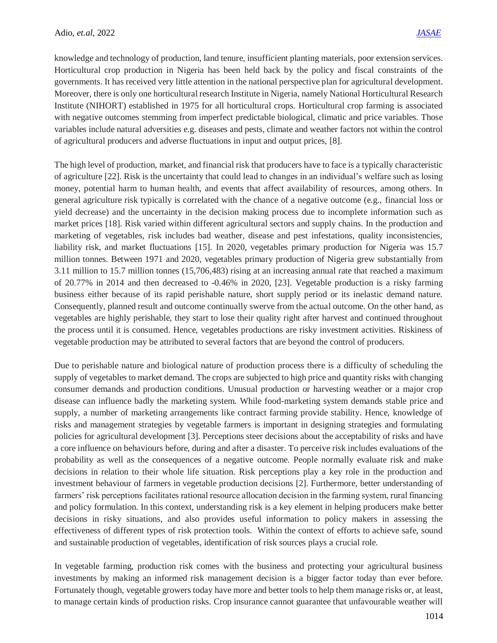knowledge and technology of production, land tenure, insufficient planting materials, poor extension services. Horticultural crop production in Nigeria has been held back by the policy and fiscal constraints of the governments. It has received very little attention in the national perspective plan for agricultural development. Moreover, there is only one horticultural research Institute in Nigeria, namely National Horticultural Research Institute (NIHORT) established in 1975 for all horticultural crops. Horticultural crop farming is associated with negative outcomes stemming from imperfect predictable biological, climatic and price variables. Those variables include natural adversities e.g. diseases and pests, climate and weather factors not within the control of agricultural producers and adverse fluctuations in input and output prices, [8].

The high level of production, market, and financial risk that producers have to face is a typically characteristic of agriculture [22]. Risk is the uncertainty that could lead to changes in an individual's welfare such as losing money, potential harm to human health, and events that affect availability of resources, among others. In general agriculture risk typically is correlated with the chance of a negative outcome (e.g., financial loss or yield decrease) and the uncertainty in the decision making process due to incomplete information such as market prices [18]. Risk varied within different agricultural sectors and supply chains. In the production and marketing of vegetables, risk includes bad weather, disease and pest infestations, quality inconsistencies, liability risk, and market fluctuations [15]. In 2020, vegetables primary production for Nigeria was 15.7 million tonnes. Between 1971 and 2020, vegetables primary production of Nigeria grew substantially from 3.11 million to 15.7 million tonnes (15,706,483) rising at an increasing annual rate that reached a maximum of 20.77% in 2014 and then decreased to -0.46% in 2020, [23]. Vegetable production is a risky farming business either because of its rapid perishable nature, short supply period or its inelastic demand nature. Consequently, planned result and outcome continually swerve from the actual outcome. On the other hand, as vegetables are highly perishable, they start to lose their quality right after harvest and continued throughout the process until it is consumed. Hence, vegetables productions are risky investment activities. Riskiness of vegetable production may be attributed to several factors that are beyond the control of producers.

Due to perishable nature and biological nature of production process there is a difficulty of scheduling the supply of vegetables to market demand. The crops are subjected to high price and quantity risks with changing consumer demands and production conditions. Unusual production or harvesting weather or a major crop disease can influence badly the marketing system. While food-marketing system demands stable price and supply, a number of marketing arrangements like contract farming provide stability. Hence, knowledge of risks and management strategies by vegetable farmers is important in designing strategies and formulating policies for agricultural development [3]. Perceptions steer decisions about the acceptability of risks and have a core influence on behaviours before, during and after a disaster. To perceive risk includes evaluations of the probability as well as the consequences of a negative outcome. People normally evaluate risk and make decisions in relation to their whole life situation. Risk perceptions play a key role in the production and investment behaviour of farmers in vegetable production decisions [2]. Furthermore, better understanding of farmers' risk perceptions facilitates rational resource allocation decision in the farming system, rural financing and policy formulation. In this context, understanding risk is a key element in helping producers make better decisions in risky situations, and also provides useful information to policy makers in assessing the effectiveness of different types of risk protection tools. Within the context of efforts to achieve safe, sound and sustainable production of vegetables, identification of risk sources plays a crucial role.

In vegetable farming, production risk comes with the business and protecting your agricultural business investments by making an informed risk management decision is a bigger factor today than ever before. Fortunately though, vegetable growers today have more and better tools to help them manage risks or, at least, to manage certain kinds of production risks. Crop insurance cannot guarantee that unfavourable weather will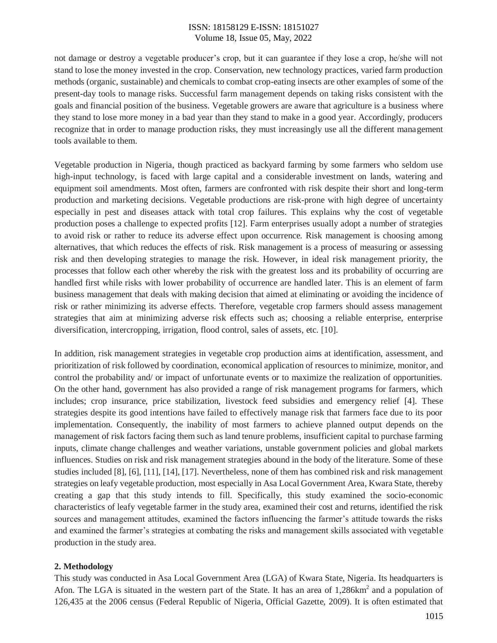not damage or destroy a vegetable producer's crop, but it can guarantee if they lose a crop, he/she will not stand to lose the money invested in the crop. Conservation, new technology practices, varied farm production methods (organic, sustainable) and chemicals to combat crop-eating insects are other examples of some of the present-day tools to manage risks. Successful farm management depends on taking risks consistent with the goals and financial position of the business. Vegetable growers are aware that agriculture is a business where they stand to lose more money in a bad year than they stand to make in a good year. Accordingly, producers recognize that in order to manage production risks, they must increasingly use all the different management tools available to them.

Vegetable production in Nigeria, though practiced as backyard farming by some farmers who seldom use high-input technology, is faced with large capital and a considerable investment on lands, watering and equipment soil amendments. Most often, farmers are confronted with risk despite their short and long-term production and marketing decisions. Vegetable productions are risk-prone with high degree of uncertainty especially in pest and diseases attack with total crop failures. This explains why the cost of vegetable production poses a challenge to expected profits [12]. Farm enterprises usually adopt a number of strategies to avoid risk or rather to reduce its adverse effect upon occurrence. Risk management is choosing among alternatives, that which reduces the effects of risk. Risk management is a process of measuring or assessing risk and then developing strategies to manage the risk. However, in ideal risk management priority, the processes that follow each other whereby the risk with the greatest loss and its probability of occurring are handled first while risks with lower probability of occurrence are handled later. This is an element of farm business management that deals with making decision that aimed at eliminating or avoiding the incidence of risk or rather minimizing its adverse effects. Therefore, vegetable crop farmers should assess management strategies that aim at minimizing adverse risk effects such as; choosing a reliable enterprise, enterprise diversification, intercropping, irrigation, flood control, sales of assets, etc. [10].

In addition, risk management strategies in vegetable crop production aims at identification, assessment, and prioritization of risk followed by coordination, economical application of resources to minimize, monitor, and control the probability and/ or impact of unfortunate events or to maximize the realization of opportunities. On the other hand, government has also provided a range of risk management programs for farmers, which includes; crop insurance, price stabilization, livestock feed subsidies and emergency relief [4]. These strategies despite its good intentions have failed to effectively manage risk that farmers face due to its poor implementation. Consequently, the inability of most farmers to achieve planned output depends on the management of risk factors facing them such as land tenure problems, insufficient capital to purchase farming inputs, climate change challenges and weather variations, unstable government policies and global markets influences. Studies on risk and risk management strategies abound in the body of the literature. Some of these studies included [8], [6], [11], [14], [17]. Nevertheless, none of them has combined risk and risk management strategies on leafy vegetable production, most especially in Asa Local Government Area, Kwara State, thereby creating a gap that this study intends to fill. Specifically, this study examined the socio-economic characteristics of leafy vegetable farmer in the study area, examined their cost and returns, identified the risk sources and management attitudes, examined the factors influencing the farmer's attitude towards the risks and examined the farmer's strategies at combating the risks and management skills associated with vegetable production in the study area.

#### **2. Methodology**

This study was conducted in Asa Local Government Area (LGA) of Kwara State, Nigeria. Its headquarters is Afon. The LGA is situated in the western part of the State. It has an area of 1,286km<sup>2</sup> and a population of 126,435 at the 2006 census (Federal Republic of Nigeria, Official Gazette, 2009). It is often estimated that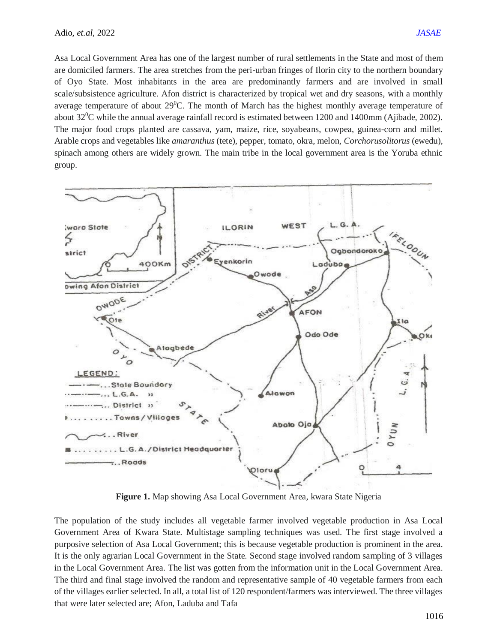Asa Local Government Area has one of the largest number of rural settlements in the State and most of them are domiciled farmers. The area stretches from the peri-urban fringes of Ilorin city to the northern boundary of Oyo State. Most inhabitants in the area are predominantly farmers and are involved in small scale/subsistence agriculture. Afon district is characterized by tropical wet and dry seasons, with a monthly average temperature of about  $29^{\circ}$ C. The month of March has the highest monthly average temperature of about  $32^0C$  while the annual average rainfall record is estimated between 1200 and 1400mm (Ajibade, 2002). The major food crops planted are cassava, yam, maize, rice, soyabeans, cowpea, guinea-corn and millet. Arable crops and vegetables like *amaranthus* (tete), pepper, tomato, okra, melon, *Corchorusolitorus* (ewedu), spinach among others are widely grown. The main tribe in the local government area is the Yoruba ethnic group.



**Figure 1.** Map showing Asa Local Government Area, kwara State Nigeria

The population of the study includes all vegetable farmer involved vegetable production in Asa Local Government Area of Kwara State. Multistage sampling techniques was used. The first stage involved a purposive selection of Asa Local Government; this is because vegetable production is prominent in the area. It is the only agrarian Local Government in the State. Second stage involved random sampling of 3 villages in the Local Government Area. The list was gotten from the information unit in the Local Government Area. The third and final stage involved the random and representative sample of 40 vegetable farmers from each of the villages earlier selected. In all, a total list of 120 respondent/farmers was interviewed. The three villages that were later selected are; Afon, Laduba and Tafa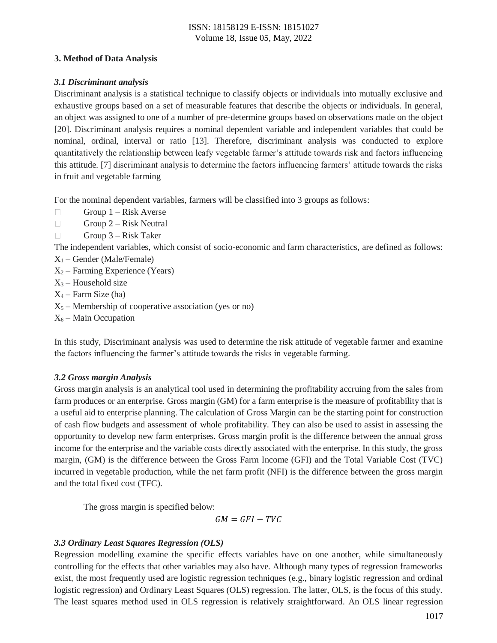#### **3. Method of Data Analysis**

## *3.1 Discriminant analysis*

Discriminant analysis is a statistical technique to classify objects or individuals into mutually exclusive and exhaustive groups based on a set of measurable features that describe the objects or individuals. In general, an object was assigned to one of a number of pre-determine groups based on observations made on the object [20]. Discriminant analysis requires a nominal dependent variable and independent variables that could be nominal, ordinal, interval or ratio [13]. Therefore, discriminant analysis was conducted to explore quantitatively the relationship between leafy vegetable farmer's attitude towards risk and factors influencing this attitude. [7] discriminant analysis to determine the factors influencing farmers' attitude towards the risks in fruit and vegetable farming

For the nominal dependent variables, farmers will be classified into 3 groups as follows:

- $\Box$ Group 1 – Risk Averse
- $\Box$ Group 2 – Risk Neutral
- $\Box$ Group 3 – Risk Taker

The independent variables, which consist of socio-economic and farm characteristics, are defined as follows:

- $X_1$  Gender (Male/Female)
- $X_2$  Farming Experience (Years)
- $X_3$  Household size
- $X_4$  Farm Size (ha)
- $X_5$  Membership of cooperative association (yes or no)
- $X_6$  Main Occupation

In this study, Discriminant analysis was used to determine the risk attitude of vegetable farmer and examine the factors influencing the farmer's attitude towards the risks in vegetable farming.

## *3.2 Gross margin Analysis*

Gross margin analysis is an analytical tool used in determining the profitability accruing from the sales from farm produces or an enterprise. Gross margin (GM) for a farm enterprise is the measure of profitability that is a useful aid to enterprise planning. The calculation of Gross Margin can be the starting point for construction of cash flow budgets and assessment of whole profitability. They can also be used to assist in assessing the opportunity to develop new farm enterprises. Gross margin profit is the difference between the annual gross income for the enterprise and the variable costs directly associated with the enterprise. In this study, the gross margin, (GM) is the difference between the Gross Farm Income (GFI) and the Total Variable Cost (TVC) incurred in vegetable production, while the net farm profit (NFI) is the difference between the gross margin and the total fixed cost (TFC).

The gross margin is specified below:

 $GM = GFI - TVC$ 

## *3.3 Ordinary Least Squares Regression (OLS)*

Regression modelling examine the specific effects variables have on one another, while simultaneously controlling for the effects that other variables may also have. Although many types of regression frameworks exist, the most frequently used are logistic regression techniques (e.g., binary logistic regression and ordinal logistic regression) and Ordinary Least Squares (OLS) regression. The latter, OLS, is the focus of this study. The least squares method used in OLS regression is relatively straightforward. An OLS linear regression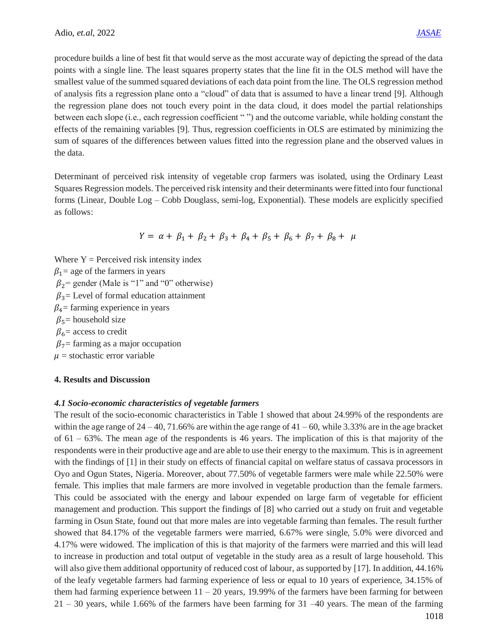procedure builds a line of best fit that would serve as the most accurate way of depicting the spread of the data points with a single line. The least squares property states that the line fit in the OLS method will have the smallest value of the summed squared deviations of each data point from the line. The OLS regression method of analysis fits a regression plane onto a "cloud" of data that is assumed to have a linear trend [9]. Although the regression plane does not touch every point in the data cloud, it does model the partial relationships between each slope (i.e., each regression coefficient " ") and the outcome variable, while holding constant the effects of the remaining variables [9]. Thus, regression coefficients in OLS are estimated by minimizing the sum of squares of the differences between values fitted into the regression plane and the observed values in the data.

Determinant of perceived risk intensity of vegetable crop farmers was isolated, using the Ordinary Least Squares Regression models. The perceived risk intensity and their determinants were fitted into four functional forms (Linear, Double Log – Cobb Douglass, semi-log, Exponential). These models are explicitly specified as follows:

$$
Y = \alpha + \beta_1 + \beta_2 + \beta_3 + \beta_4 + \beta_5 + \beta_6 + \beta_7 + \beta_8 + \mu
$$

Where  $Y =$  Perceived risk intensity index  $\beta_1$  = age of the farmers in years  $\beta_2$  = gender (Male is "1" and "0" otherwise)  $\beta_3$  Level of formal education attainment  $\beta_4$ = farming experience in years  $\beta_5$ = household size  $\beta_6$  = access to credit  $\beta_7$ = farming as a major occupation  $\mu$  = stochastic error variable

## **4. Results and Discussion**

#### *4.1 Socio-economic characteristics of vegetable farmers*

The result of the socio-economic characteristics in Table 1 showed that about 24.99% of the respondents are within the age range of  $24 - 40$ , 71.66% are within the age range of  $41 - 60$ , while 3.33% are in the age bracket of  $61 - 63\%$ . The mean age of the respondents is 46 years. The implication of this is that majority of the respondents were in their productive age and are able to use their energy to the maximum. This is in agreement with the findings of [1] in their study on effects of financial capital on welfare status of cassava processors in Oyo and Ogun States, Nigeria. Moreover, about 77.50% of vegetable farmers were male while 22.50% were female. This implies that male farmers are more involved in vegetable production than the female farmers. This could be associated with the energy and labour expended on large farm of vegetable for efficient management and production. This support the findings of [8] who carried out a study on fruit and vegetable farming in Osun State, found out that more males are into vegetable farming than females. The result further showed that 84.17% of the vegetable farmers were married, 6.67% were single, 5.0% were divorced and 4.17% were widowed. The implication of this is that majority of the farmers were married and this will lead to increase in production and total output of vegetable in the study area as a result of large household. This will also give them additional opportunity of reduced cost of labour, as supported by [17]. In addition, 44.16% of the leafy vegetable farmers had farming experience of less or equal to 10 years of experience, 34.15% of them had farming experience between  $11 - 20$  years, 19.99% of the farmers have been farming for between 21 – 30 years, while 1.66% of the farmers have been farming for 31 –40 years. The mean of the farming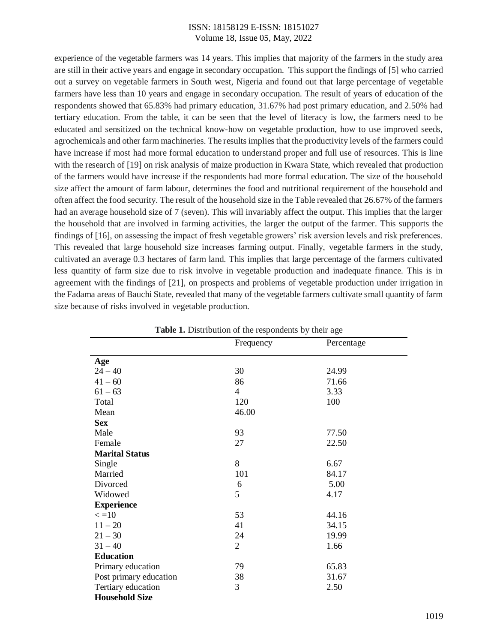experience of the vegetable farmers was 14 years. This implies that majority of the farmers in the study area are still in their active years and engage in secondary occupation. This support the findings of [5] who carried out a survey on vegetable farmers in South west, Nigeria and found out that large percentage of vegetable farmers have less than 10 years and engage in secondary occupation. The result of years of education of the respondents showed that 65.83% had primary education, 31.67% had post primary education, and 2.50% had tertiary education. From the table, it can be seen that the level of literacy is low, the farmers need to be educated and sensitized on the technical know-how on vegetable production, how to use improved seeds, agrochemicals and other farm machineries. The results implies that the productivity levels of the farmers could have increase if most had more formal education to understand proper and full use of resources. This is line with the research of [19] on risk analysis of maize production in Kwara State, which revealed that production of the farmers would have increase if the respondents had more formal education. The size of the household size affect the amount of farm labour, determines the food and nutritional requirement of the household and often affect the food security. The result of the household size in the Table revealed that 26.67% of the farmers had an average household size of 7 (seven). This will invariably affect the output. This implies that the larger the household that are involved in farming activities, the larger the output of the farmer. This supports the findings of [16], on assessing the impact of fresh vegetable growers' risk aversion levels and risk preferences. This revealed that large household size increases farming output. Finally, vegetable farmers in the study, cultivated an average 0.3 hectares of farm land. This implies that large percentage of the farmers cultivated less quantity of farm size due to risk involve in vegetable production and inadequate finance. This is in agreement with the findings of [21], on prospects and problems of vegetable production under irrigation in the Fadama areas of Bauchi State, revealed that many of the vegetable farmers cultivate small quantity of farm size because of risks involved in vegetable production.

| <b>Table 1.</b> Distribution of the respondents by their age |                |            |  |  |
|--------------------------------------------------------------|----------------|------------|--|--|
|                                                              | Frequency      | Percentage |  |  |
| Age                                                          |                |            |  |  |
| $24 - 40$                                                    | 30             | 24.99      |  |  |
| $41 - 60$                                                    | 86             | 71.66      |  |  |
| $61 - 63$                                                    | $\overline{4}$ | 3.33       |  |  |
| Total                                                        | 120            | 100        |  |  |
| Mean                                                         | 46.00          |            |  |  |
| <b>Sex</b>                                                   |                |            |  |  |
| Male                                                         | 93             | 77.50      |  |  |
| Female                                                       | 27             | 22.50      |  |  |
| <b>Marital Status</b>                                        |                |            |  |  |
| Single                                                       | 8              | 6.67       |  |  |
| Married                                                      | 101            | 84.17      |  |  |
| Divorced                                                     | 6              | 5.00       |  |  |
| Widowed                                                      | 5              | 4.17       |  |  |
| <b>Experience</b>                                            |                |            |  |  |
| $\epsilon = 10$                                              | 53             | 44.16      |  |  |
| $11 - 20$                                                    | 41             | 34.15      |  |  |
| $21 - 30$                                                    | 24             | 19.99      |  |  |
| $31 - 40$                                                    | $\overline{2}$ | 1.66       |  |  |
| <b>Education</b>                                             |                |            |  |  |
| Primary education                                            | 79             | 65.83      |  |  |
| Post primary education                                       | 38             | 31.67      |  |  |
| Tertiary education                                           | 3              | 2.50       |  |  |
| <b>Household Size</b>                                        |                |            |  |  |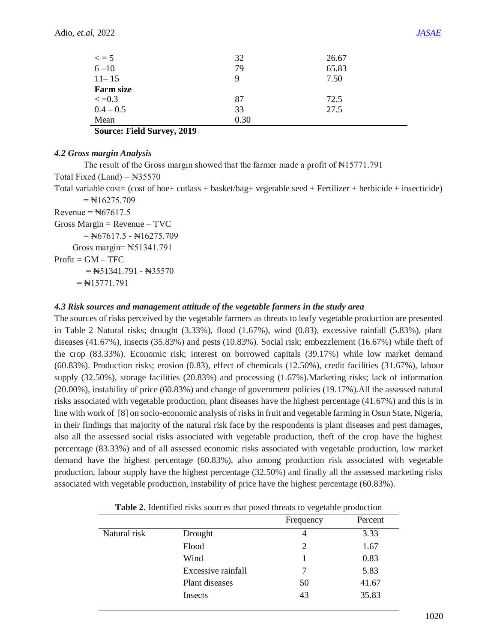|                         | 32   | 26.67 |
|-------------------------|------|-------|
| $\epsilon = 5$<br>6 -10 | 79   | 65.83 |
| $11 - 15$               | 9    | 7.50  |
| <b>Farm size</b>        |      |       |
| $\epsilon = 0.3$        | 87   | 72.5  |
| $0.4 - 0.5$             | 33   | 27.5  |
| Mean                    | 0.30 |       |

**Source: Field Survey, 2019**

#### *4.2 Gross margin Analysis*

The result of the Gross margin showed that the farmer made a profit of  $\text{N15771.791}$ Total Fixed (Land) =  $\text{N35570}$ Total variable cost= (cost of hoe+ cutlass + basket/bag+ vegetable seed + Fertilizer + herbicide + insecticide)  $=$  N $16275.709$  $Revenue =  $\frac{1267617.5}{5}$$  $Gross Margin = Revenue - TVC$  $=$  N $67617.5 -$  N $16275.709$  Gross margin= ₦51341.791  $Profit = GM - TFC$  $=$  N51341.791 - N35570

 $=$  N $15771.791$ 

## *4.3 Risk sources and management attitude of the vegetable farmers in the study area*

The sources of risks perceived by the vegetable farmers as threats to leafy vegetable production are presented in Table 2 Natural risks; drought (3.33%), flood (1.67%), wind (0.83), excessive rainfall (5.83%), plant diseases (41.67%), insects (35.83%) and pests (10.83%). Social risk; embezzlement (16.67%) while theft of the crop (83.33%). Economic risk; interest on borrowed capitals (39.17%) while low market demand (60.83%). Production risks; erosion (0.83), effect of chemicals (12.50%), credit facilities (31.67%), labour supply (32.50%), storage facilities (20.83%) and processing (1.67%).Marketing risks; lack of information (20.00%), instability of price (60.83%) and change of government policies (19.17%).All the assessed natural risks associated with vegetable production, plant diseases have the highest percentage (41.67%) and this is in line with work of [8] on socio-economic analysis of risks in fruit and vegetable farming in Osun State, Nigeria, in their findings that majority of the natural risk face by the respondents is plant diseases and pest damages, also all the assessed social risks associated with vegetable production, theft of the crop have the highest percentage (83.33%) and of all assessed economic risks associated with vegetable production, low market demand have the highest percentage (60.83%), also among production risk associated with vegetable production, labour supply have the highest percentage (32.50%) and finally all the assessed marketing risks associated with vegetable production, instability of price have the highest percentage (60.83%).

| <b>Thore so recommod</b> how bources that posed an eats to vegetable production |                    |           |         |  |  |
|---------------------------------------------------------------------------------|--------------------|-----------|---------|--|--|
|                                                                                 |                    | Frequency | Percent |  |  |
| Natural risk                                                                    | Drought            | 4         | 3.33    |  |  |
|                                                                                 | Flood              | 2         | 1.67    |  |  |
|                                                                                 | Wind               |           | 0.83    |  |  |
|                                                                                 | Excessive rainfall |           | 5.83    |  |  |
|                                                                                 | Plant diseases     | 50        | 41.67   |  |  |
|                                                                                 | Insects            | 43        | 35.83   |  |  |

|  | Table 2. Identified risks sources that posed threats to vegetable production |  |  |  |  |  |
|--|------------------------------------------------------------------------------|--|--|--|--|--|
|  |                                                                              |  |  |  |  |  |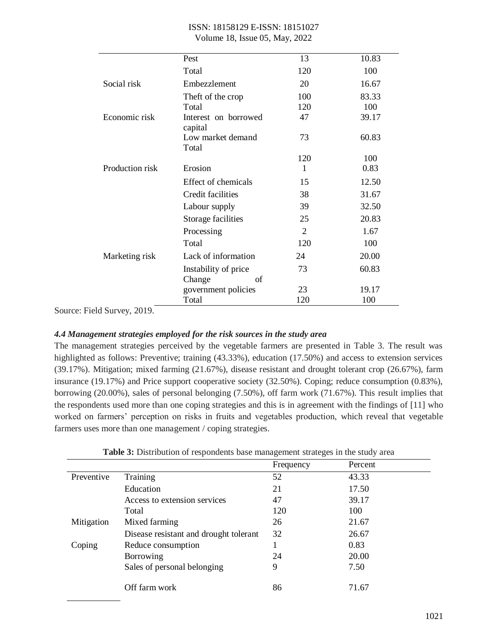| ISSN: 18158129 E-ISSN: 18151027 |                                |  |
|---------------------------------|--------------------------------|--|
|                                 | Volume 18, Issue 05, May, 2022 |  |

|                 | Pest                            | 13             | 10.83 |
|-----------------|---------------------------------|----------------|-------|
|                 | Total                           | 120            | 100   |
| Social risk     | Embezzlement                    | 20             | 16.67 |
|                 | Theft of the crop               | 100            | 83.33 |
|                 | Total                           | 120            | 100   |
| Economic risk   | Interest on borrowed<br>capital | 47             | 39.17 |
|                 | Low market demand<br>Total      | 73             | 60.83 |
|                 |                                 | 120            | 100   |
| Production risk | Erosion                         | 1              | 0.83  |
|                 | Effect of chemicals             | 15             | 12.50 |
|                 | Credit facilities               | 38             | 31.67 |
|                 | Labour supply                   | 39             | 32.50 |
|                 | Storage facilities              | 25             | 20.83 |
|                 | Processing                      | $\overline{2}$ | 1.67  |
|                 | Total                           | 120            | 100   |
| Marketing risk  | Lack of information             | 24             | 20.00 |
|                 | Instability of price            | 73             | 60.83 |
|                 | Change<br>of                    |                |       |
|                 | government policies             | 23             | 19.17 |
|                 | Total                           | 120            | 100   |

Source: Field Survey, 2019.

#### *4.4 Management strategies employed for the risk sources in the study area*

The management strategies perceived by the vegetable farmers are presented in Table 3. The result was highlighted as follows: Preventive; training (43.33%), education (17.50%) and access to extension services (39.17%). Mitigation; mixed farming (21.67%), disease resistant and drought tolerant crop (26.67%), farm insurance (19.17%) and Price support cooperative society (32.50%). Coping; reduce consumption (0.83%), borrowing (20.00%), sales of personal belonging (7.50%), off farm work (71.67%). This result implies that the respondents used more than one coping strategies and this is in agreement with the findings of [11] who worked on farmers' perception on risks in fruits and vegetables production, which reveal that vegetable farmers uses more than one management / coping strategies.

| $\overline{ }$                         |           |         |
|----------------------------------------|-----------|---------|
|                                        | Frequency | Percent |
| Training                               | 52        | 43.33   |
| Education                              | 21        | 17.50   |
| Access to extension services           | 47        | 39.17   |
| Total                                  | 120       | 100     |
| Mixed farming                          | 26        | 21.67   |
| Disease resistant and drought tolerant | 32        | 26.67   |
| Reduce consumption                     |           | 0.83    |
| Borrowing                              | 24        | 20.00   |
| Sales of personal belonging            | 9         | 7.50    |
| Off farm work                          | 86        | 71.67   |
|                                        |           |         |

**Table 3:** Distribution of respondents base management strateges in the study area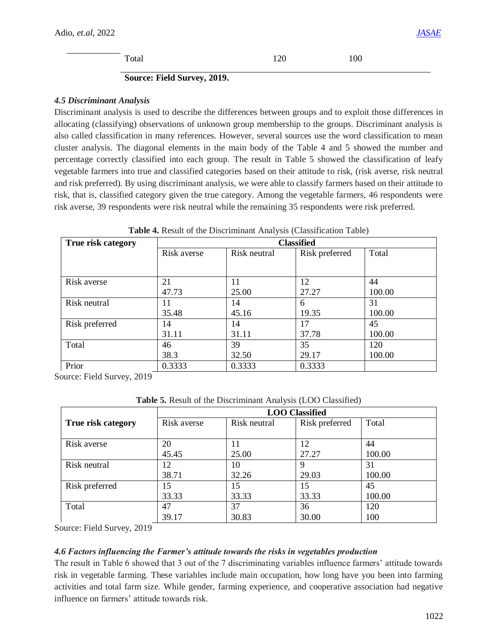Total 120 100

#### **Source: Field Survey, 2019.**

#### *4.5 Discriminant Analysis*

Discriminant analysis is used to describe the differences between groups and to exploit those differences in allocating (classifying) observations of unknown group membership to the groups. Discriminant analysis is also called classification in many references. However, several sources use the word classification to mean cluster analysis. The diagonal elements in the main body of the Table 4 and 5 showed the number and percentage correctly classified into each group. The result in Table 5 showed the classification of leafy vegetable farmers into true and classified categories based on their attitude to risk, (risk averse, risk neutral and risk preferred). By using discriminant analysis, we were able to classify farmers based on their attitude to risk, that is, classified category given the true category. Among the vegetable farmers, 46 respondents were risk averse, 39 respondents were risk neutral while the remaining 35 respondents were risk preferred.

| True risk category | <b>Classified</b> |              |                |        |  |  |  |  |
|--------------------|-------------------|--------------|----------------|--------|--|--|--|--|
|                    | Risk averse       | Risk neutral | Risk preferred | Total  |  |  |  |  |
|                    |                   |              |                |        |  |  |  |  |
| Risk averse        | 21                | 11           | 12             | 44     |  |  |  |  |
|                    | 47.73             | 25.00        | 27.27          | 100.00 |  |  |  |  |
| Risk neutral       | 11                | 14           | 6              | 31     |  |  |  |  |
|                    | 35.48             | 45.16        | 19.35          | 100.00 |  |  |  |  |
| Risk preferred     | 14                | 14           | 17             | 45     |  |  |  |  |
|                    | 31.11             | 31.11        | 37.78          | 100.00 |  |  |  |  |
| Total              | 46                | 39           | 35             | 120    |  |  |  |  |
|                    | 38.3              | 32.50        | 29.17          | 100.00 |  |  |  |  |
| Prior              | 0.3333            | 0.3333       | 0.3333         |        |  |  |  |  |

| Table 4. Result of the Discriminant Analysis (Classification Table) |  |  |  |
|---------------------------------------------------------------------|--|--|--|
|---------------------------------------------------------------------|--|--|--|

Source: Field Survey, 2019

**Table 5.** Result of the Discriminant Analysis (LOO Classified)

|                    | <b>LOO</b> Classified |              |                |        |  |  |  |
|--------------------|-----------------------|--------------|----------------|--------|--|--|--|
| True risk category | Risk averse           | Risk neutral | Risk preferred | Total  |  |  |  |
| Risk averse        | 20                    |              | 12             | 44     |  |  |  |
|                    | 45.45                 | 25.00        | 27.27          | 100.00 |  |  |  |
| Risk neutral       | 12                    | 10           | 9              | 31     |  |  |  |
|                    | 38.71                 | 32.26        | 29.03          | 100.00 |  |  |  |
| Risk preferred     | 15                    | 15           | 15             | 45     |  |  |  |
|                    | 33.33                 | 33.33        | 33.33          | 100.00 |  |  |  |
| Total              | 47                    | 37           | 36             | 120    |  |  |  |
|                    | 39.17                 | 30.83        | 30.00          | 100    |  |  |  |

Source: Field Survey, 2019

## *4.6 Factors influencing the Farmer's attitude towards the risks in vegetables production*

The result in Table 6 showed that 3 out of the 7 discriminating variables influence farmers' attitude towards risk in vegetable farming. These variables include main occupation, how long have you been into farming activities and total farm size. While gender, farming experience, and cooperative association had negative influence on farmers' attitude towards risk.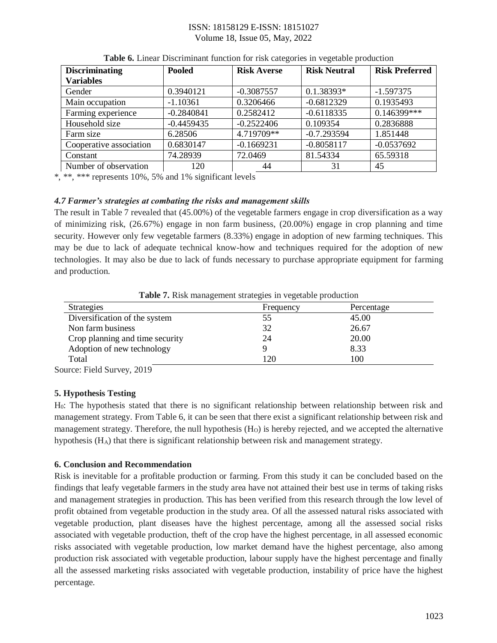| <b>Discriminating</b><br><b>Variables</b> | <b>Pooled</b> | <b>Risk Averse</b> | <b>Risk Neutral</b> | <b>Risk Preferred</b> |
|-------------------------------------------|---------------|--------------------|---------------------|-----------------------|
| Gender                                    | 0.3940121     | $-0.3087557$       | $0.1.38393*$        | $-1.597375$           |
| Main occupation                           | $-1.10361$    | 0.3206466          | $-0.6812329$        | 0.1935493             |
| Farming experience                        | $-0.2840841$  | 0.2582412          | $-0.6118335$        | $0.146399***$         |
| Household size                            | $-0.4459435$  | $-0.2522406$       | 0.109354            | 0.2836888             |
| Farm size                                 | 6.28506       | 4.719709**         | $-0.7.293594$       | 1.851448              |
| Cooperative association                   | 0.6830147     | $-0.1669231$       | $-0.8058117$        | $-0.0537692$          |
| Constant                                  | 74.28939      | 72.0469            | 81.54334            | 65.59318              |
| Number of observation                     | 120           | 44                 | 31                  | 45                    |

**Table 6.** Linear Discriminant function for risk categories in vegetable production

\*, \*\*, \*\*\* represents 10%, 5% and 1% significant levels

## *4.7 Farmer's strategies at combating the risks and management skills*

The result in Table 7 revealed that (45.00%) of the vegetable farmers engage in crop diversification as a way of minimizing risk, (26.67%) engage in non farm business, (20.00%) engage in crop planning and time security. However only few vegetable farmers (8.33%) engage in adoption of new farming techniques. This may be due to lack of adequate technical know-how and techniques required for the adoption of new technologies. It may also be due to lack of funds necessary to purchase appropriate equipment for farming and production.

| Strategies                      | Frequency | Percentage |
|---------------------------------|-----------|------------|
| Diversification of the system   | 55        | 45.00      |
| Non farm business               | 32        | 26.67      |
| Crop planning and time security | 24        | 20.00      |
| Adoption of new technology      |           | 8.33       |
| Total                           | 120       | 100        |

Table 7. Risk management strategies in vegetable production

Source: Field Survey, 2019

## **5. Hypothesis Testing**

H0: The hypothesis stated that there is no significant relationship between relationship between risk and management strategy. From Table 6, it can be seen that there exist a significant relationship between risk and management strategy. Therefore, the null hypothesis  $(H<sub>O</sub>)$  is hereby rejected, and we accepted the alternative hypothesis (HA) that there is significant relationship between risk and management strategy.

## **6. Conclusion and Recommendation**

Risk is inevitable for a profitable production or farming. From this study it can be concluded based on the findings that leafy vegetable farmers in the study area have not attained their best use in terms of taking risks and management strategies in production. This has been verified from this research through the low level of profit obtained from vegetable production in the study area. Of all the assessed natural risks associated with vegetable production, plant diseases have the highest percentage, among all the assessed social risks associated with vegetable production, theft of the crop have the highest percentage, in all assessed economic risks associated with vegetable production, low market demand have the highest percentage, also among production risk associated with vegetable production, labour supply have the highest percentage and finally all the assessed marketing risks associated with vegetable production, instability of price have the highest percentage.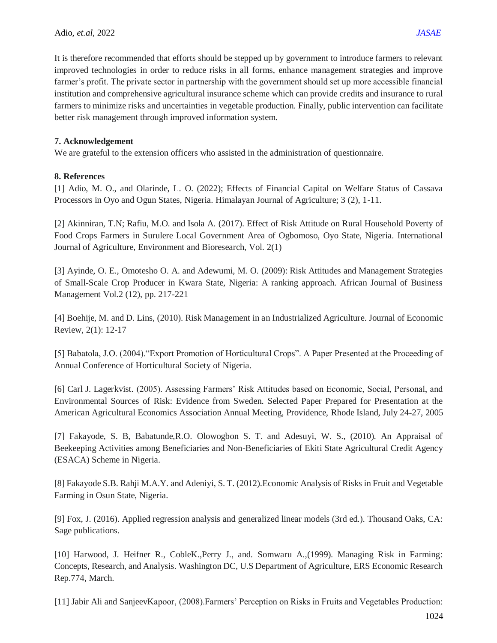It is therefore recommended that efforts should be stepped up by government to introduce farmers to relevant improved technologies in order to reduce risks in all forms, enhance management strategies and improve farmer's profit. The private sector in partnership with the government should set up more accessible financial institution and comprehensive agricultural insurance scheme which can provide credits and insurance to rural farmers to minimize risks and uncertainties in vegetable production. Finally, public intervention can facilitate better risk management through improved information system.

# **7. Acknowledgement**

We are grateful to the extension officers who assisted in the administration of questionnaire.

# **8. References**

[1] Adio, M. O., and Olarinde, L. O. (2022); Effects of Financial Capital on Welfare Status of Cassava Processors in Oyo and Ogun States, Nigeria. Himalayan Journal of Agriculture; 3 (2), 1-11.

[2] Akinniran, T.N; Rafiu, M.O. and Isola A. (2017). Effect of Risk Attitude on Rural Household Poverty of Food Crops Farmers in Surulere Local Government Area of Ogbomoso, Oyo State, Nigeria. International Journal of Agriculture, Environment and Bioresearch, Vol. 2(1)

[3] Ayinde, O. E., Omotesho O. A. and Adewumi, M. O. (2009): Risk Attitudes and Management Strategies of Small-Scale Crop Producer in Kwara State, Nigeria: A ranking approach. African Journal of Business Management Vol.2 (12), pp. 217-221

[4] Boehije, M. and D. Lins, (2010). Risk Management in an Industrialized Agriculture. Journal of Economic Review, 2(1): 12-17

[5] Babatola, J.O. (2004)."Export Promotion of Horticultural Crops". A Paper Presented at the Proceeding of Annual Conference of Horticultural Society of Nigeria.

[6] Carl J. Lagerkvist. (2005). Assessing Farmers' Risk Attitudes based on Economic, Social, Personal, and Environmental Sources of Risk: Evidence from Sweden. Selected Paper Prepared for Presentation at the American Agricultural Economics Association Annual Meeting, Providence, Rhode Island, July 24-27, 2005

[7] Fakayode, S. B, Babatunde,R.O. Olowogbon S. T. and Adesuyi, W. S., (2010). An Appraisal of Beekeeping Activities among Beneficiaries and Non-Beneficiaries of Ekiti State Agricultural Credit Agency (ESACA) Scheme in Nigeria.

[8] Fakayode S.B. Rahji M.A.Y. and Adeniyi, S. T. (2012).Economic Analysis of Risks in Fruit and Vegetable Farming in Osun State, Nigeria.

[9] Fox, J. (2016). Applied regression analysis and generalized linear models (3rd ed.). Thousand Oaks, CA: Sage publications.

[10] Harwood, J. Heifner R., CobleK.,Perry J., and. Somwaru A.,(1999). Managing Risk in Farming: Concepts, Research, and Analysis. Washington DC, U.S Department of Agriculture, ERS Economic Research Rep.774, March.

[11] Jabir Ali and SanjeevKapoor, (2008).Farmers' Perception on Risks in Fruits and Vegetables Production: